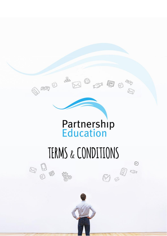

 $\begin{picture}(120,15) \put(0,0){\line(1,0){155}} \put(15,0){\line(1,0){155}} \put(15,0){\line(1,0){155}} \put(15,0){\line(1,0){155}} \put(15,0){\line(1,0){155}} \put(15,0){\line(1,0){155}} \put(15,0){\line(1,0){155}} \put(15,0){\line(1,0){155}} \put(15,0){\line(1,0){155}} \put(15,0){\line(1,0){155}} \put(15,0){\line(1,0){155}}$ 

 $\otimes$ 

# TERMS & CONDITIONS

0 © Partnership Education Limited 2019

 $\begin{picture}(120,140)(-20,140)(-20,140)(-20,140)(-20,140)(-20,140)(-20,140)(-20,140)(-20,140)(-20,140)(-20,140)(-20,140)(-20,140)(-20,140)(-20,140)(-20,140)(-20,140)(-20,140)(-20,140)(-20,140)(-20,140)(-20,140)(-20,140)(-20,140)(-20,140)(-20,140)(-20,140$ 

 $\mathbb{V}_0$ 

 $\varnothing$ 

 $\begin{picture}(20,20) \put(0,0){\line(1,0){150}} \put(15,0){\line(1,0){150}} \put(15,0){\line(1,0){150}} \put(15,0){\line(1,0){150}} \put(15,0){\line(1,0){150}} \put(15,0){\line(1,0){150}} \put(15,0){\line(1,0){150}} \put(15,0){\line(1,0){150}} \put(15,0){\line(1,0){150}} \put(15,0){\line(1,0){150}} \put(15,0){\line(1,0){150}} \$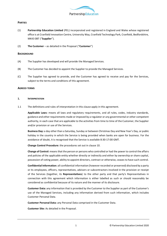

# **PARTIES**

- (1) **Partnership Education Limited** (PEL) incorporated and registered in England and Wales whose registered office is at Cranfield Innovation Centre, University Way, Cranfield Technology Park, Cranfield, Bedfordshire, MK43 0BT ("**Supplier**").
- (2) **The Customer**  as detailed in the Proposal ("**Customer**")

#### **BACKGROUND**

- (A) The Supplier has developed and will provide the Managed Services.
- (B) The Customer has decided to appoint the Supplier to provide the Managed Services.
- (C) The Supplier has agreed to provide, and the Customer has agreed to receive and pay for the Services, subject to the terms and conditions of this agreement.

#### **AGREED TERMS**

#### **1. INTERPRETATION**

1.1 The definitions and rules of interpretation in this clause apply in this agreement.

**Applicable Laws:** means all laws and regulatory requirements, and all rules, codes, industry standards, guidance and other requirements made or imposed by a regulator or any governmental or other competent authority, in each case that are applicable to the activities from time to time of the Customer, the Supplier and/or provision or use of the Services.

**Business Day:** a day other than a Saturday, Sunday or between Christmas Day and New Year's Day, or public holiday in the country in which the Service is being provided when banks are open for business. For the avoidance of doubt, it is recognised that the Service is available 8:30-17:00 GMT.

**Change Control Procedure:** the procedures set out in clause 10.

**Change of Control:** means that the person or persons who controlled or had the power to control the affairs and policies of the applicable entity whether directly or indirectly and either by ownership or share capital, possession of voting power, ability to appoint directors, contract or otherwise, ceases to have such control.

**Confidential Information:** all confidential information (however recorded or preserved) disclosed by a party or its employees, officers, representatives, advisers or subcontractors involved in the provision or receipt of the Services (together, its **Representatives**) to the other party and that party's Representatives in connection with this agreement which information is either labelled as such or should reasonably be considered as confidential because of its nature and the manner of its disclosure.

**Customer Data:** any information that is provided by the Customer to the Supplier as part of the Customer's use of the Managed Services, including any information derived from such information, which includes Customer Personal Data.

**Customer Personal Data:** any Personal Data comprised in the Customer Data.

**Customer Site:** As detailed in the Proposal.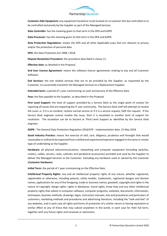

**Customer-Side Equipment:** any equipment located or to be located on a Customer Site but controlled or to be controlled exclusively by the Supplier as part of the Managed Services.

**Data Controller:** has the meaning given to that term in the DPA and GDPR.

**Data Processor:** has the meaning given to that term in the DPA and GDPR.

**Data Protection Regulations:** means the DPA and all other Applicable Laws that are relevant to privacy and/or the protection of personal data

**DPA**: the Data Protection Act 1998 / 2018.

**Dispute Resolution Procedure:** the procedure described in clause 11.

**Effective date:** as detailed in the Proposal.

**End User Licence Agreement:** means the software licence agreements relating to any and all Customer Software**.**

**Exit Services:** the exit related services that are to be provided by the Supplier, as requested by the Customer, to successfully transition the Managed Services to a Replacement Supplier.

**Extended term:** a period of 1 year commencing on each anniversary of the Effective Date.

**Fees:** the fees payable to the Supplier, as described in the Proposal.

**First Level Support:** the level of support provided by a Service Desk as the single point of contact for reporting all issues that are impacting the IT user community. The Service Desk staff will attempt to resolve the issue i.e. if it is an incident, restore normal service or if it is a service request, fulfil the request. If the Service Desk engineer cannot resolve the issue, then it is escalated to another level of support for resolution. The escalation can be to Second or Third Level Support as identified by the Service Desk engineer.

**GDPR -** The General Data Protection Regulation 2016/679 - Implementation date: 25 May 2018

**Good Industry Practice:** means the exercise of skill, care, diligence, prudence and foresight that would reasonably or ordinarily be expected from a skilled and experienced operator engaged in the same or similar type of undertaking as the Supplier.

**Hardware:** all physical telecommunications, networking and computer equipment (including switches, routers, cables, servers, racks, cabinets and peripheral accessories) provided and used by the Supplier to deliver the Managed Services to the Customer. Excluding any hardware used or owned by the Customer (**Customer Hardware**)

**Initial Term:** the period of 1 year commencing on the Effective Date.

**Intellectual Property Rights:** any and all intellectual property rights of any nature, whether registered, registerable or otherwise, including patents, utility models, trademarks, registered designs and domain names, applications for any of the foregoing, trade or business names, goodwill, copyright and rights in the nature of copyright, design rights, rights in databases, moral rights, know-how and any other intellectual property rights that subsist in computer software, computer programs, websites, documents, information, techniques, business methods, drawings, logos, instruction manuals, lists and procedures and particulars of customers, marketing methods and procedures and advertising literature, including the "look and feel" of any websites, and in each case all rights and forms of protection of a similar nature or having equivalent or similar effect to any of these that may subsist anywhere in the world, in each case for their full term, together with any future rights and renewals or extensions.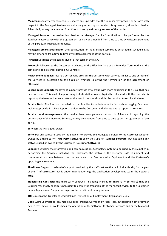

**Maintenance:** any error corrections, updates and upgrades that the Supplier may provide or perform with respect to the Managed Services, as well as any other support under this agreement, all as described in Schedule 4, as may be amended from time to time by written agreement of the parties.

**Managed Services:** the service described in the Managed Service Specification to be performed by the Supplier in accordance with this agreement, as may be amended from time to time by written agreement of the parties, including Maintenance.

**Managed Service Specification:** the specification for the Managed Services as described in Schedule 4, as may be amended from time to time by written agreement of the parties.

**Personal Data:** has the meaning given to that term in the DPA.

**Proposal:** delivered to the Customer in advance of the Effective Date or an Extended Term outlining the services to be delivered, entitled ICT Contract.

**Replacement Supplier:** means a person who provides the Customer with services similar to one or more of the Services in succession to the Supplier, whether following the termination of this agreement or otherwise.

**Second Level Support:** the level of support provide by a group with more expertise in the issue that has been reported. This level of support may include staff who are physically co-located with the user who is reporting the issue and who can attend the user in person, should this be required to resolve the issue.

**Service Desk:** The function provided by the Supplier to undertake activities such as logging Customer incidents, provide First Line Support Services to the Customer and allocate onsite support as required.

**Service Level Arrangements:** the service level arrangements set out in Schedule 1 regarding the performance of the Managed Services, as may be amended from time to time by written agreement of the parties.

**Services:** the Managed Services.

**Software:** any software used by the Supplier to provide the Managed Services to the Customer whether owned by a third party (**Third-Party Software**) or by the Supplier (**Supplier Software**) but excluding any software used or owned by the Customer (**Customer Software**).

**Supplier's System:** the information and communications technology system to be used by the Supplier in performing the Services, including the Hardware, the Software, the Customer-side Equipment and communications links between the Hardware and the Customer-side Equipment and the Customer's operating environment.

**Third Level Support:** the level of support provided by the staff that are the technical authority for the part of the IT infrastructure that is under investigation e.g. the application development team, the network team.

**Transferring Contracts:** the third-party contracts (including licenses to Third-Party Software) that the Supplier reasonably considers necessary to enable the transition of the Managed Services to the Customer or any Replacement Supplier on expiry or termination of this agreement.

**TUPE:** means the Transfer of Undertakings (Protection of Employment) Regulations 2006.

**Virus:** without limitation, any malicious code, trojans, worms and viruses, lock, authorisation key or similar device that impairs or could impair the operation of the Software, Customer Software and or the Managed Services.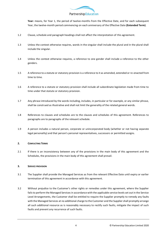

**Year:** means, for Year 1, the period of twelve-months from the Effective Date, and for each subsequent Year, the twelve-month period commencing on each anniversary of the Effective Date **(Extended Term)**.

- 1.2 Clause, schedule and paragraph headings shall not affect the interpretation of this agreement.
- 1.3 Unless the context otherwise requires, words in the singular shall include the plural and in the plural shall include the singular.
- 1.4 Unless the context otherwise requires, a reference to one gender shall include a reference to the other genders.
- 1.5 A reference to a statute or statutory provision is a reference to it as amended, extended or re-enacted from time to time.
- 1.6 A reference to a statute or statutory provision shall include all subordinate legislation made from time to time under that statute or statutory provision.
- 1.7 Any phrase introduced by the words including, includes, in particular or for example, or any similar phrase, shall be construed as illustrative and shall not limit the generality of the related general words.
- 1.8 References to clauses and schedules are to the clauses and schedules of this agreement. References to paragraphs are to paragraphs of the relevant schedule.
- 1.9 A person includes a natural person, corporate or unincorporated body (whether or not having separate legal personality) and that person's personal representatives, successors or permitted assigns.

# **2. CONFLICTING TERMS**

2.1 If there is an inconsistency between any of the provisions in the main body of this agreement and the Schedules, the provisions in the main body of this agreement shall prevail.

#### **3. SERVICE PROVISION**

- 3.1 The Supplier shall provide the Managed Services as from the relevant Effective Date until expiry or earlier termination of this agreement in accordance with this agreement.
- 3.2 Without prejudice to the Customer's other rights or remedies under this agreement, where the Supplier fails to perform the Managed Services in accordance with the applicable service levels set out in the Service Level Arrangements, the Customer shall be entitled to require the Supplier promptly to remedy any faults with the Managed Services at no additional charge to the Customer and the Supplier shall promptly arrange all such additional resource as is reasonably necessary to rectify such faults, mitigate the impact of such faults and prevent any recurrence of such faults.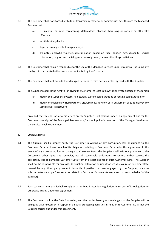

- 3.3 The Customer shall not store, distribute or transmit any material or commit such acts through the Managed Services that:
	- (a) is unlawful, harmful, threatening, defamatory, obscene, harassing or racially or ethnically offensive;
	- (b) facilitates illegal activity;
	- (c) depicts sexually explicit images; and/or
	- (d) promotes unlawful violence, discrimination based on race, gender, age, disability, sexual orientation, religion and belief, gender reassignment, or any other illegal activities.
- 3.4 The Customer shall remain responsible for the use of the Managed Services under its control, including any use by third parties (whether fraudulent or invited by the Customer).
- 3.5 The Customer shall not provide the Managed Services to third parties, unless agreed with the Supplier.
- 3.6 The Supplier reserves the right to (on giving the Customer at least 30 days' prior written notice of the same):
	- (a) modify the Supplier's System, its network, system configurations or routing configuration; or
	- (b) modify or replace any Hardware or Software in its network or in equipment used to deliver any Service over its network,

provided that this has no adverse effect on the Supplier's obligations under this agreement and/or the Customer's receipt of the Managed Services, and/or the Supplier's provision of the Managed Services or the Service Level Arrangements.

# **4. CUSTOMER DATA**

- 4.1 The Supplier shall promptly notify the Customer in writing of any corruption, loss or damage to the Customer Data or of any breach of its obligations relating to Customer Data under this agreement. In the event of any corruption, loss or damage to Customer Data, the Supplier shall, without prejudice to the Customer's other rights and remedies, use all reasonable endeavours to restore and/or correct the corrupted, lost or damaged Customer Data from the latest backup of such Customer Data. The Supplier shall not be responsible for any loss, destruction, alteration or unauthorised disclosure of Customer Data caused by any third party (except those third parties that are engaged by the Supplier, such as subcontractors who perform services related to Customer Data maintenance and back-up on behalf of the Supplier).
- 4.2 Each party warrants that it shall comply with the Data Protection Regulations in respect of its obligations or otherwise arising under this agreement.
- 4.3 The Customer shall be the Data Controller, and the parties hereby acknowledge that the Supplier will be acting as Data Processor in respect of all data processing activities in relation to Customer Data that the Supplier carries out under this agreement.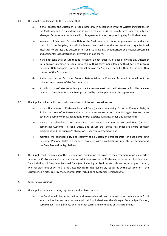

- 4.4 The Supplier undertakes to the Customer that:
	- (a) it shall process the Customer Personal Data only in accordance with the written instructions of the Customer and to the extent, and in such a manner, as is reasonably necessary to supply the Managed Services in accordance with this agreement or as is required by any Applicable Laws;
	- (b) in respect of Customer Personal Data of the Customer, which is in the possession or under the control of the Supplier, it shall implement and maintain the technical and organisational measures to protect this Customer Personal Data against unauthorised or unlawful processing and accidental loss, destruction, alteration or disclosure;
	- (c) it shall not (and shall ensure that its Personnel do not) publish, disclose or divulge any Customer Data and/or Customer Personal Data to any third party, nor allow any third party to process Customer Data and/or Customer Personal Data on the Supplier's behalf without the prior written consent of the Customer;
	- (d) it shall not transfer Customer Personal Data outside the European Economic Area without the prior written consent of the Customer; and
	- (e) it shall assist the Customer with any subject access request that the Customer or Supplier receives relating to Customer Personal Data processed by the Supplier under this agreement.
- 4.5 The Supplier will establish and maintain robust policies and procedures to:
	- (a) ensure that access to Customer Personal Data (or data comprising Customer Personal Data) is limited to those of its Personnel who require access to perform the Managed Services or to otherwise comply with its obligations and/or exercise its rights under this agreement;
	- (b) ensure the reliability of Personnel who have access to Customer Personal Data (or data comprising Customer Personal Data), and ensure that those Personnel are aware of their obligations and the Supplier's obligations under this agreement; and
	- (c) maintain the confidentiality and security of all Customer Personal Data (or data comprising Customer Personal Data) in a manner consistent with its obligations under this agreement and the Data Protection Regulations.
- 4.6 The Supplier will, on request of the Customer on termination (or expiry) of the agreement or on such earlier date as the Customer may require, and at no additional cost to the Customer, either return the Customer Data including all Customer Personal Data (and including all back-up records and other copies thereof, whether electronic or written) to the Customer in a format reasonably requested by the Customer or, if the Customer so elects, destroy the Customer Data including all Customer Personal Data.

## **5. SUPPLIER'S OBLIGATIONS**

- 5.1 The Supplier hereby warrants, represents and undertakes that:
	- (a) the Services will be performed with all reasonable skill and care and in accordance with Good Industry Practice, and in accordance with all Applicable Laws, the Managed Service Specification, Service Level Arrangements and the other terms and conditions of this agreement;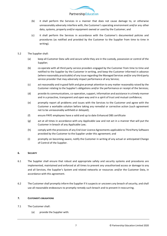

- (b) it shall perform the Services in a manner that does not cause damage to, or otherwise unreasonably adversely interfere with, the Customer's operating environment and/or any other data, systems, property and/or equipment owned or used by the Customer; and
- (c) it shall perform the Services in accordance with the Customer's documented policies and procedures (as notified and provided by the Customer to the Supplier from time to time in writing).
- 5.2 The Supplier shall:
	- (a) keep all Customer Data safe and secure while they are in the custody, possession or control of the Supplier;
	- (b) co-operate with all third party service providers engaged by the Customer from time to time and notified to the Supplier by the Customer in writing, and keep the Customer informed in advance (where reasonably practicable) of any issue regarding the Managed Services and/or any third party service provider that may adversely impact performance of any Service;
	- (c) act reasonably and in good faith and give prompt attention to any matter reasonably raised by the Customer relating to the Supplier's obligations and/or the performance or receipt of the Services;
	- (d) provide its communications, co-operation, support, information and assistance in a timely manner and in a proactive, transparent and open way and in a spirit of trust and mutual confidence;
	- (e) promptly report all problems and issues with the Services to the Customer and agree with the Customer a workable solution before taking any remedial or corrective action (such agreement not to be unreasonably withheld or delayed);
	- (f) ensure PAYE employees have a valid and up to date Enhanced DBS certificate
	- (g) act at all times in accordance with any Applicable Law and not act in a manner that will put the Customer in breach of any Applicable Law;
	- (h) comply with the provisions of any End User Licence Agreements applicable to Third Party Software provided by the Customer to the Supplier under this agreement; and
	- (i) promptly on becoming aware, notify the Customer in writing of any actual or anticipated Change of Control of the Supplier.

#### **6. SECURITY**

- 6.1 The Supplier shall ensure that robust and appropriate safety and security systems and procedures are implemented, maintained and enforced at all times to prevent any unauthorised access or damage to any and all Services, the Supplier's System and related networks or resources and/or the Customer Data, in accordance with this agreement.
- 6.2 The Customer shall promptly inform the Supplier if it suspects or uncovers any breach of security, and shall use all reasonable endeavours to promptly remedy such breach and to prevent it reoccurring.

# **7. CUSTOMER'S OBLIGATIONS**

- 7.1 The Customer shall:
	- (a) provide the Supplier with: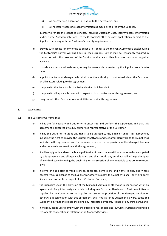

- (i) all necessary co-operation in relation to this agreement; and
- (ii) all necessary access to such information as may be required by the Supplier,

in order to render the Managed Services, including Customer Data, security access information and Customer Software interfaces, to the Customer's other business applications, subject to the Supplier complying with the Customer's security requirements;

- (b) provide such access for any of the Supplier's Personnel to the relevant Customer's Site(s) during the Customer's normal working hours in each Business Day as may be reasonably required in connection with the provision of the Services and at such other hours as may be arranged in advance;
- (c) provide such personnel assistance, as may be reasonably requested by the Supplier from time to time;
- (d) appoint the Account Manager, who shall have the authority to contractually bind the Customer on all matters relating to this agreement;
- (e) comply with the Acceptable Use Policy detailed in Schedule 2
- (f) comply with all Applicable Laws with respect to its activities under this agreement; and
- (g) carry out all other Customer responsibilities set out in this agreement.

#### **8. WARRANTIES**

- 8.1 The Customer warrants that:
	- (a) it has the full capacity and authority to enter into and perform this agreement and that this agreement is executed by a duly authorised representative of the Customer;
	- (b) it has the authority to grant any rights to be granted to the Supplier under this agreement, including the right to provide the Customer Software and Customer Hardware to the Supplier as indicated in this agreement and for the same to be used in the provision of the Managed Services and otherwise in connection with this agreement;
	- (c) it will comply with and use the Managed Services in accordance with or as reasonably anticipated by this agreement and all Applicable Laws, and shall not do any act that shall infringe the rights of any third party including the publishing or transmission of any materials contrary to relevant laws;
	- (d) it owns or has obtained valid licences, consents, permissions and rights to use, and where necessary to sub-license to the Supplier (or otherwise allow the Supplier to use), any third-party licences and consents in respect of any Customer Software;
	- (e) the Supplier's use in the provision of the Managed Services or otherwise in connection with this agreement of any third-party materials, including any Customer Hardware or Customer Software supplied by the Customer to the Supplier for use in the provision of the Managed Services or otherwise in connection with this agreement, shall not, as far as Customer is aware, cause the Supplier to infringe the rights, including any Intellectual Property Rights, of any third party; and,
	- (f) it will request its users comply with the Supplier's reasonable and lawful instructions and provide reasonable cooperation in relation to the Managed Services.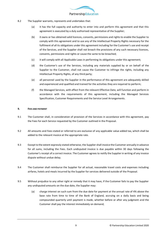

- 8.2 The Supplier warrants, represents and undertakes that:
	- (a) it has the full capacity and authority to enter into and perform this agreement and that this agreement is executed by a duly authorised representative of the Supplier;
	- (b) it owns or has obtained valid licences, consents, permissions and rights to enable the Supplier to comply with this agreement and to use any of the Intellectual Property Rights necessary for the fulfilment of all its obligations under this agreement including for the Customer's use and receipt of the Services, and the Supplier shall not breach the provisions of any such necessary licences, consents, permissions and rights or cause the same to be breached;
	- (c) it will comply with all Applicable Laws in performing its obligations under this agreement;
	- (d) the Customer's use of the Services, including any materials supplied by or on behalf of the Supplier to the Customer, shall not cause the Customer to infringe the rights, including any Intellectual Property Rights, of any third party;
	- (e) all personnel used by the Supplier in the performance of this agreement are adequately skilled and experienced and qualified and trained for the activities they are required to perform;
	- (f) the Managed Services, with effect from the relevant Effective Date, will function and perform in accordance with the requirements of this agreement, including the Managed Services Specification, Customer Requirements and the Service Level Arrangements.

# **9. FEES AND PAYMENT**

- 9.1 The Customer shall, in consideration of provision of the Services in accordance with this agreement, pay the Fees for each Service requested by the Customer outlined in the Proposal.
- 9.2 All amounts and Fees stated or referred to are exclusive of any applicable value added tax, which shall be added to the relevant invoice at the appropriate rate.
- 9.3 Except to the extent expressly stated otherwise, the Supplier shall invoice the Customer annually in advance for all sums, including the Fees. Each undisputed invoice is due payable within 30 days following the Customer's receipt of a correct invoice. The Customer agrees to notify the Supplier in writing of any invoice dispute without undue delay.
- 9.4 The Customer shall reimburse the Supplier for all actual, reasonable travel costs and expenses including airfares, hotels and meals incurred by the Supplier for services delivered outside of the Proposal.
- 9.5 Without prejudice to any other right or remedy that it may have, if the Customer fails to pay the Supplier any undisputed amounts on the due date, the Supplier may:
	- (a) charge interest on such sum from the due date for payment at the annual rate of 4% above the base rate from time to time of the Bank of England, accruing on a daily basis and being compounded quarterly until payment is made, whether before or after any judgment and the Customer shall pay the interest immediately on demand;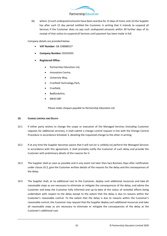

(b) where: (i) such undisputed amounts have been overdue for 15 days of more; and, (ii) the Supplier has after such 15 day period notified the Customer in writing that it intends to suspend all Services if the Customer does no pay such undisputed amounts within 30 further days of its receipt of that notice to suspend all Services until payment has been made in full.

Company details are provided below:

- **VAT Number**: GB 338888537
- **Company Number:** 05924935
- **Registered Office:**
	- Partnership Education Ltd,
	- Innovation Centre,
	- University Way,
	- Cranfield Technology Park,
	- Cranfield,
	- Bedfordshire,
	- MK43 0BT

*Please make cheques payable to Partnership Education Ltd*

# **10. CHANGE CONTROL AND DELAYS**

- 10.1 If either party wishes to change the scope or execution of the Managed Services (including Customer requests for additional services), it shall submit a change control request in line with the Change Control Procedure in accordance Schedule 3, detailing the requested change to the other in writing.
- 10.2 If at any time the Supplier becomes aware that it will not (or is unlikely to) perform the Managed Services in accordance with this agreement, it shall promptly notify the Customer of such delay and provide the Customer with preliminary details of the reasons for it.
- 10.3 The Supplier shall as soon as possible and in any event not later than two Business Days after notification under clause 10.2, give the Customer written details of the reasons for the delay and the consequences of the delay.
- 10.4 The Supplier shall, at no additional cost to the Customer, deploy such additional resources and take all reasonable steps as are necessary to eliminate or mitigate the consequences of the delay, and advise the Customer and keep the Customer fully informed and up-to-date of the status of remedial efforts being undertaken with respect to the delay except to the extent that the delay is due to reasons within the Customer's reasonable control. To the extent that the delay is due to reasons within the Customer's reasonable control, the Customer may request that the Supplier deploy such additional resources and take all reasonable steps as are necessary to eliminate or mitigate the consequences of the delay at the Customer's additional cost.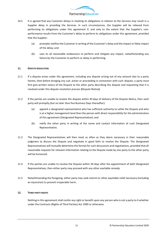

- 10.5 It is agreed that any Customer delays in meeting its obligations in relation to the Services may result in a Supplier delay in providing the Services. In such circumstances, the Supplier will be relieved from performing its obligations under this agreement if, and only to the extent that the Supplier's nonperformance results from the Customer's delay to perform its obligations under this agreement, provided that the Supplier:
	- (a) promptly notifies the Customer in writing of the Customer's delay and the impact or likely impact of the delay; and
	- (b) uses its all reasonable endeavours to perform and mitigate any impact, notwithstanding any failure by the Customer to perform or delay in performing.

# **11. DISPUTE RESOLUTION**

- 11.1 If a dispute arises under this agreement, including any dispute arising out of any amount due to a party hereto, then before bringing any suit, action or proceeding in connection with such dispute, a party must first give written notice of the Dispute to the other party describing the dispute and requesting that it is resolved under this dispute resolution process **(**Dispute Notice**).**
- 11.2 If the parties are unable to resolve the dispute within 30 days of delivery of the Dispute Notice, then each party will promptly (but no later than five Business Days thereafter):
	- (a) appoint a designated representative who has sufficient authority to settle the Dispute and who is at a higher management level than the person with direct responsibility for the administration of this agreement (Designated Representative); and
	- (b) notify the other party in writing of the name and contact information of such Designated Representative.
- 11.3 The Designated Representatives will then meet as often as they deem necessary in their reasonable judgment to discuss the Dispute and negotiate in good faith to resolve the Dispute. The Designated Representatives will mutually determine the format for such discussions and negotiations, provided that all reasonable requests for relevant information relating to the Dispute made by one party to the other party will be honoured.
- 11.4 If the parties are unable to resolve the Dispute within 30 days after the appointment of both Designated Representatives, then either party may proceed with any other available remedy.
- 11.5 Notwithstanding the foregoing, either party may seek interim or other equitable relief necessary (including an injunction) to prevent irreparable harm.

#### **12. THIRD-PARTY RIGHTS**

Nothing in this agreement shall confer any right or benefit upon any person who is not a party to it whether under the Contracts (Rights of Third Parties) Act 1999 or otherwise.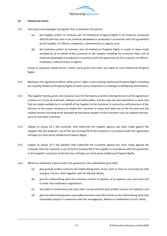

#### **13. PROPRIETARY RIGHTS**

- 13.1 Each party acknowledges and agrees that, as between the parties:
	- (a) the Supplier and/or its licensors own all Intellectual Property Rights in all materials connected with the Services and in any material developed or produced in connection with this agreement by the Supplier, its officers, employees, subcontractors or agents; and
	- (b) the Customer and/or its licensors own all Intellectual Property Rights in assets or items made available by or on behalf of the Customer to the Supplier including the Customer Data, and all materials developed or produced in connection with this agreement by the Customer, its officers, employees, subcontractors or agents.

Except as expressly stated herein, neither party grants the other any rights to such Intellectual Property Rights.

- 13.2 Nothing in this agreement affects either party's rights in pre-existing Intellectual Property Rights (including pre-existing Intellectual Property Rights of either party contained in or relating to Confidential Information).
- 13.3 The Supplier hereby grants the Customer (and its third party providers) during the term of this agreement a licence to: (i) use all materials, software and deliverables; and (ii) copy any documentation in each case that are made available by or on behalf of the Supplier to the Customer in connection with provision of the Services to the extent necessary to enable the Customer to enjoy and make use of the Services and any related services including those provided by third party vendors of the Customer (such as related interface, security and other activities).
- 13.4 Subject to clause 13.7, the Customer shall indemnify the Supplier against any claim made against the Supplier that the Supplier's use of the pre-existing IPR of the Customer in accordance with this agreement infringes any third party Intellectual Property Rights.
- 13.5 Subject to clause 13.7, the Supplier shall indemnify the Customer against any claim made against the Customer that the Customer's use of the Pre-Existing IPR of the Supplier in accordance with this agreement or the Supplier's provision of the Services infringes any third party Intellectual Property Rights.
- 13.6 Where an indemnity is given under this agreement, the indemnified party shall:
	- (a) give prompt written notice to the indemnifying party of any claim or facts or circumstances that may give rise to a claim together with all relevant details;
	- (b) give the indemnifying party the exclusive conduct to defend, at its expense, any such claim and to enter into settlement negotiations;
	- (c) not settle or compromise any such claim, except with the prior written consent of Customer; and
	- (d) give the indemnifying party reasonable assistance and information as the indemnifying party may reasonably require in connection with the investigation, defence or settlement of such claims.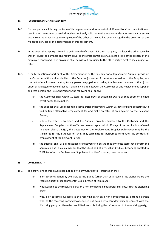

#### **14. INDUCEMENT OF EMPLOYEES AND TUPE**

- 14.1 Neither party shall during the term of this agreement and for a period of 12 months after its expiration or termination howsoever caused, directly or indirectly solicit or entice away or endeavour to solicit or entice away from the other party any employee of the other party who has been engaged in the provision of the Managed Services or the performance of this agreement.
- 14.2 In the event that a party is found to be in breach of clause 14.1 then that party shall pay the other party by way of liquidated damages an amount equal to the gross annual salary, as at the time of the breach, of the employee concerned. This provision shall be without prejudice to the other party's right to seek injunctive relief.
- 14.3 If, on termination of part or all of this Agreement or on the Customer or a Replacement Supplier providing the Customer with services similar to the Services (or some of them) in succession to the Supplier, any contract of employment relating to any person engaged in providing the Services (or some of them) has effect or is alleged to have effect as if originally made between the Customer or any Replacement Supplier and that person (the Relevant Person), the following shall apply:
	- (a) the Customer shall within 10 (ten) Business Days of becoming aware of that effect or alleged effect notify the Supplier;
	- (b) the Supplier shall use reasonable commercial endeavours, within 15 days of being so notified, to find suitable alternative employment for and make an offer of employment to the Relevant Person;
	- (c) unless the offer is accepted and the Supplier provides evidence to the Customer and the Replacement Supplier that the offer has been accepted within 20 days of the notification referred to under clause 14.3(a), the Customer or the Replacement Supplier (whichever may be the transferee for the purposes of TUPE) may terminate (or purport to terminate) the contract of employment of the Relevant Person;
	- (d) the Supplier shall use all reasonable endeavours to ensure that any of its staff that perform the Services, do so in such a manner that the likelihood of any such individuals becoming entitled to TUPE transfer to a Replacement Supplement or the Customer, does not occur.

#### **15. CONFIDENTIALITY**

- 15.1 The provisions of this clause shall not apply to any Confidential Information that:
	- (a) is or becomes generally available to the public (other than as a result of its disclosure by the receiving party or its Representatives in breach of this clause);
	- (b) was available to the receiving party on a non-confidential basis before disclosure by the disclosing party;
	- (c) was, is or becomes available to the receiving party on a non-confidential basis from a person who, to the receiving party's knowledge, is not bound by a confidentiality agreement with the disclosing party or otherwise prohibited from disclosing the information to the receiving party;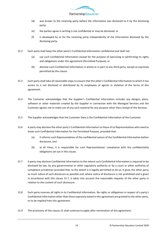

- (d) was known to the receiving party before the information was disclosed to it by the disclosing party;
- (e) the parties agree in writing is not confidential or may be disclosed; or
- (f) is developed by or for the receiving party independently of the information disclosed by the disclosing party.
- 15.2 Each party shall keep the other party's Confidential Information confidential and shall not:
	- (a) use such Confidential Information except for the purpose of exercising or performing its rights and obligations under this agreement (Permitted Purpose); or
	- (b) disclose such Confidential Information in whole or in part to any third party, except as expressly permitted by this clause.
- 15.3 Each party shall take all reasonable steps to ensure that the other's Confidential Information to which it has access to is not disclosed or distributed by its employees or agents in violation of the terms of this agreement.
- 15.4 The Customer acknowledges that the Supplier's Confidential Information includes any designs, plans, software or other materials created by the Supplier in connection with the Managed Services and the Customer agrees not to make use of any such material for any purpose other than receipt of the Services.
- 15.5 The Supplier acknowledges that the Customer Data is the Confidential Information of the Customer.
- 15.6 A party may disclose the other party's Confidential Information to those of its Representatives who need to know such Confidential Information for the Permitted Purpose, provided that:
	- (a) it informs such Representatives of the confidential nature of the Confidential Information before disclosure; and
	- (b) at all times, it is responsible for such Representatives' compliance with the confidentiality obligations set out in this clause.
- 15.7 A party may disclose Confidential Information to the extent such Confidential Information is required to be disclosed by law, by any governmental or other regulatory authority or by a court or other authority of competent jurisdiction provided that, to the extent it is legally permitted to do so, it gives the other party as much notice of such disclosure as possible and, where notice of disclosure is not prohibited and is given in accordance with this clause 15.7, it takes into account the reasonable requests of the other party in relation to the content of such disclosure.
- 15.8 Each party reserves all rights in its Confidential Information. No rights or obligations in respect of a party's Confidential Information other than those expressly stated in this agreement are granted to the other party, or to be implied from this agreement.
- 15.9 The provisions of this clause 15 shall continue to apply after termination of this agreement.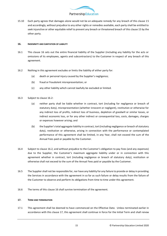

15.10 Each party agrees that damages alone would not be an adequate remedy for any breach of this clause 15 and accordingly, without prejudice to any other rights or remedies available, each party shall be entitled to seek injunctive or other equitable relief to prevent any breach or threatened breach of this clause 15 by the other party.

#### **16. INDEMNITY AND LIMITATION OF LIABILITY**

- 16.1 This clause 16 sets out the entire financial liability of the Supplier (including any liability for the acts or omissions of its employees, agents and subcontractors) to the Customer in respect of any breach of this agreement.
- 16.2 Nothing in this agreement excludes or limits the liability of either party for:
	- (a) death or personal injury caused by the Supplier's negligence;
	- (b) fraud or fraudulent misrepresentation; or
	- (c) any other liability which cannot lawfully be excluded or limited.
- 16.3 Subject to clause 16.2:
	- (a) neither party shall be liable whether in contract, tort (including for negligence or breach of statutory duty), misrepresentation (whether innocent or negligent), restitution or otherwise for any indirect loss of profits, indirect loss of business, depletion of goodwill or similar losses, or indirect economic loss, or for any other indirect or consequential loss, costs, damages, charges or expenses however arising; and
	- (b) the Supplier's total aggregate liability in contract, tort (including negligence or breach of statutory duty), restitution or otherwise, arising in connection with the performance or contemplated performance of this agreement shall be limited, in any Year, shall not exceed the sum of the Annual Fees paid or payable by the Customer.
- 16.4 Subject to clause 16.2, and without prejudice to the Customer's obligation to pay Fees (and any expenses) due to the Supplier, the Customer's maximum aggregate liability under or in connection with this agreement whether in contract, tort (including negligence or breach of statutory duty), restitution or otherwise shall not exceed to the sum of the Annual Fees paid or payable by the Customer.
- 16.5 The Supplier shall not be responsible for, nor have any liability for any failure to provide or delay in providing the Services in accordance with the agreement in so far as such failure or delay results from the failure of the Customer to observe and perform its obligations from time to time under this agreement.
- 16.6 The terms of this clause 16 shall survive termination of the agreement.

#### **17. TERM AND TERMINATION**

17.1 This agreement shall be deemed to have commenced on the Effective Date. Unless terminated earlier in accordance with this clause 17, this agreement shall continue in force for the Initial Term and shall renew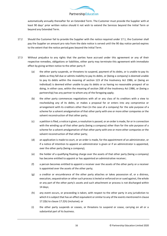

automatically annually thereafter for an Extended Term. The Customer must provide the Supplier with at least 90 days' prior written notice should it not wish to extend the Services beyond the Initial Term or beyond any Extended Term.

- 17.2 Should the Customer fail to provide the Supplier with the notice required under 17.1, the Customer shall pay the Supplier an amount pro rata from the date notice is served until the 90 day notice period expires to the extent that the notice period goes beyond the Initial Term.
- 17.3 Without prejudice to any rights that the parties have accrued under this agreement or any of their respective remedies, obligations or liabilities, either party may terminate this agreement with immediate effect by giving written notice to the other party if:
	- (a) the other party suspends, or threatens to suspend, payment of its debts, or is unable to pay its debts as they fall due or admits inability to pay its debts, or (being a company) is deemed unable to pay its debts within the meaning of section 123 of the Insolvency Act 1986, or (being an individual) is deemed either unable to pay its debts or as having no reasonable prospect of so doing, in either case, within the meaning of section 268 of the Insolvency Act 1986, or (being a partnership) has any partner to whom any of the foregoing apply;
	- (b) the other party commences negotiations with all or any class of its creditors with a view to rescheduling any of its debts, or makes a proposal for or enters into any compromise or arrangement with its creditors other than (in the case of a company) for the sole purpose of a scheme for a solvent amalgamation of that other party with one or more other companies or the solvent reconstruction of that other party;
	- (c) a petition is filed, a notice is given, a resolution is passed, or an order is made, for or in connection with the winding up of that other party (being a company) other than for the sole purpose of a scheme for a solvent amalgamation of that other party with one or more other companies or the solvent reconstruction of that other party;
	- (d) an application is made to court, or an order is made, for the appointment of an administrator, or if a notice of intention to appoint an administrator is given or if an administrator is appointed, over the other party (being a company);
	- (e) the holder of a qualifying floating charge over the assets of that other party (being a company) has become entitled to appoint or has appointed an administrative receiver;
	- (f) a person becomes entitled to appoint a receiver over the assets of the other party or a receiver is appointed over the assets of the other party;
	- (g) a creditor or encumbrance of the other party attaches or takes possession of, or a distress, execution, sequestration or other such process is levied or enforced on or sued against, the whole or any part of the other party's assets and such attachment or process is not discharged within 14 days;
	- (h) any event occurs, or proceeding is taken, with respect to the other party in any jurisdiction to which it is subject that has an effect equivalent or similar to any of the events mentioned in clause 17.2(b) to clause 17.2(h) (inclusive); or
	- (i) the other party suspends or ceases, or threatens to suspend or cease, carrying on all or a substantial part of its business.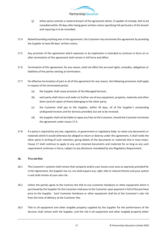

- (j) either party commits a material breach of the agreement which, if capable of remedy, fails to be remedied within 30 days after being given written notice specifying full particulars of the breach and requiring it to be remedied.
- 17.4 Notwithstanding anything else in this agreement, the Customer may terminate this agreement by providing the Supplier at least 90 days' written notice.
- 17.5 Any provision of this agreement which expressly or by implication is intended to continue in force on or after termination of this agreement shall remain in full force and effect.
- 17.6 Termination of this agreement, for any reason, shall not affect the accrued rights, remedies, obligations or liabilities of the parties existing at termination.
- 17.7 On effective termination of part or all of this agreement for any reason, the following provisions shall apply in respect of the terminated part(s):
	- (a) the Supplier shall cease provision of the Managed Services;
	- (b) each party shall return and make no further use of any equipment, property, materials and other items (and all copies of them) belonging to the other party;
	- (c) the Customer shall pay to the Supplier, within 30 days, all of the Supplier's outstanding undisputed invoices and for Services provided, but yet to be invoiced;
	- (d) the Supplier shall not be liable to repay any Fees to the Customer, should the Customer terminate the agreement under clause 17.4.
- 17.8 If a party is required by any law, regulation, or government or regulatory body to retain any documents or materials which it would otherwise be obliged to return or destroy under this agreement, it shall notify the other party in writing of such retention, giving details of the documents or materials that it must retain. Clause 17 shall continue to apply to any such retained documents and materials for as long as any such requirement continues in force, subject to any disclosure mandated by any Regulatory Requirement.

# **18. TITLE AND RISK**

- 18.1 The Customer's systems shall remain their property and/or your lessors and, save as expressly provided for in this Agreement, the Supplier has no, nor shall acquire any, right, title or interest therein and your system is and shall remain at your sole risk.
- 18.2 Unless the parties agree to the contrary the title to any Customer Hardware or other equipment which is purchased by the Supplier for the Customer shall pass to the Customer upon payment in full of the purchase price to the Supplier. Such Customer Hardware or other equipment shall be at the Customer's sole risk from the time of delivery at the Customer Site.
- 18.3 Title to all equipment and other tangible property supplied by the Supplier for the performance of the Services shall remain with the Supplier, and the risk in all equipment and other tangible property either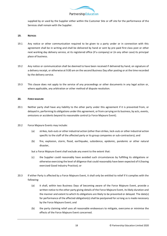

supplied by or used by the Supplier either within the Customer Site or off site for the performance of the Services shall remain with the Supplier.

#### **19. NOTICES**

- 19.1 Any notice or other communication required to be given to a party under or in connection with this agreement shall be in writing and shall be delivered by hand or sent by pre-paid first class post or other next working day delivery service, at its registered office (if a company) or (in any other case) its principal place of business.
- 19.2 Any notice or communication shall be deemed to have been received if delivered by hand, on signature of a delivery receipt, or otherwise at 9.00 am on the second Business Day after posting or at the time recorded by the delivery service.
- 19.3 This clause does not apply to the service of any proceedings or other documents in any legal action or, where applicable, any arbitration or other method of dispute resolution.

#### **20. FORCE MAJEURE**

- 20.1 Neither party shall have any liability to the other party under this agreement if it is prevented from, or delayed in, performing its obligations under this agreement, or from carrying on its business, by acts, events, omissions or accidents beyond its reasonable control (a Force Majeure Event).
- 20.2 Force Majeure Events may include:
	- (a) strikes, lock-outs or other industrial action (other than strikes, lock-outs or other industrial action specific to the staff of the affected party or its group companies or sub-contractors); and
	- (b) fire, explosion, storm, flood, earthquake, subsidence, epidemic, pandemic or other natural disaster,
	- but a Force Majeure Event shall exclude any event to the extent that:
	- (c) the Supplier could reasonably have avoided such circumstances by fulfilling its obligations or otherwise exercising the level of diligence that could reasonably have been expected of it (having exercised Good Industry Practice); or
- 20.3 If either Party is affected by a Force Majeure Event, it shall only be entitled to relief if it complies with the following:
	- (a) it shall, within two Business Days of becoming aware of the Force Majeure Event, provide a written notice to the other party giving details of the Force Majeure Event, its likely duration and the manner and extent to which its obligations are likely to be prevented or delayed. The date(s) for performance of the affected obligation(s) shall be postponed for so long as is made necessary by the Force Majeure Event; and
	- (b) the party claiming relief uses all reasonable endeavours to mitigate, overcome or minimise the effects of the Force Majeure Event concerned.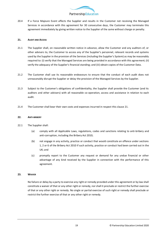

20.4 If a Force Majeure Event affects the Supplier and results in the Customer not receiving the Managed Services in accordance with this agreement for 30 consecutive days, the Customer may terminate this agreement immediately by giving written notice to the Supplier of the same without charge or penalty.

## **21. AUDIT AND ACCESS**

- 21.1 The Supplier shall, on reasonable written notice in advance, allow the Customer and any auditors of, or other advisers to, the Customer to access any of the Supplier's personnel, relevant records and systems used by the Supplier in the provision of the Services (including the Supplier's System) as may be reasonably required to: (i) verify that the Managed Services are being provided in accordance with this agreement; (ii) verify the adequacy of the Supplier's financial standing; and (iii) obtain copies of the Customer Data.
- 21.2 The Customer shall use its reasonable endeavours to ensure that the conduct of each audit does not unreasonably disrupt the Supplier or delay the provision of the Managed Services by the Supplier.
- 21.3 Subject to the Customer's obligations of confidentiality, the Supplier shall provide the Customer (and its auditors and other advisers) with all reasonable co-operation, access and assistance in relation to each audit.
- 21.4 The Customer shall bear their own costs and expenses incurred in respect this clause 21.

#### **22. ANTI-BRIBERY**

- 22.1 The Supplier shall:
	- (a) comply with all Applicable Laws, regulations, codes and sanctions relating to anti-bribery and anti-corruption, including the Bribery Act 2010;
	- (b) not engage in any activity, practice or conduct that would constitute an offence under sections 1, 2 or 6 of the Bribery Act 2010 if such activity, practice or conduct had been carried out in the UK; and
	- (c) promptly report to the Customer any request or demand for any undue financial or other advantage of any kind received by the Supplier in connection with the performance of this agreement.

#### **23. WAIVER**

No failure or delay by a party to exercise any right or remedy provided under this agreement or by law shall constitute a waiver of that or any other right or remedy, nor shall it preclude or restrict the further exercise of that or any other right or remedy. No single or partial exercise of such right or remedy shall preclude or restrict the further exercise of that or any other right or remedy.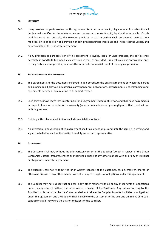

## **24. SEVERANCE**

- 24.1 If any provision or part-provision of this agreement is or becomes invalid, illegal or unenforceable, it shall be deemed modified to the minimum extent necessary to make it valid, legal and enforceable. If such modification is not possible, the relevant provision or part-provision shall be deemed deleted. Any modification to or deletion of a provision or part-provision under this clause shall not affect the validity and enforceability of the rest of this agreement.
- 24.2 If any provision or part-provision of this agreement is invalid, illegal or unenforceable, the parties shall negotiate in good faith to amend such provision so that, as amended, it is legal, valid and enforceable, and, to the greatest extent possible, achieves the intended commercial result of the original provision.

#### **25. ENTIRE AGREEMENT AND AMENDMENT**

- 25.1 This agreement and the documents referred to in it constitute the entire agreement between the parties and supersede all previous discussions, correspondence, negotiations, arrangements, understandings and agreements between them relating to its subject matter.
- 25.2 Each party acknowledges that in entering into this agreement it does not rely on, and shall have no remedies in respect of, any representation or warranty (whether made innocently or negligently) that is not set out in this agreement.
- 25.3 Nothing in this clause shall limit or exclude any liability for fraud.
- 25.4 No alteration to or variation of this agreement shall take effect unless and until the same is in writing and signed on behalf of each of the parties by a duly authorised representative.

#### **26. ASSIGNMENT**

- 26.1 The Customer shall not, without the prior written consent of the Supplier (except in respect of the Group Companies), assign, transfer, charge or otherwise dispose of any other manner with all or any of its rights or obligations under this agreement.
- 26.2 The Supplier shall not, without the prior written consent of the Customer, assign, transfer, charge or otherwise dispose of any other manner with all or any of its rights or obligations under this agreement
- 26.3 The Supplier may not subcontract or deal in any other manner with all or any of its rights or obligations under this agreement without the prior written consent of the Customer. Any sub-contracting by the Supplier that is permitted by the Customer shall not relieve the Supplier from its liabilities or obligations under this agreement and the Supplier shall be liable to the Customer for the acts and omissions of its subcontractors as if they were the acts or omissions of the Supplier.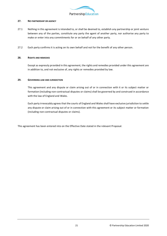

# **27. NO PARTNERSHIP OR AGENCY**

- 27.1 Nothing in this agreement is intended to, or shall be deemed to, establish any partnership or joint venture between any of the parties, constitute any party the agent of another party, nor authorise any party to make or enter into any commitments for or on behalf of any other party.
- 27.2 Each party confirms it is acting on its own behalf and not for the benefit of any other person.

## **28. RIGHTS AND REMEDIES**

Except as expressly provided in this agreement, the rights and remedies provided under this agreement are in addition to, and not exclusive of, any rights or remedies provided by law.

#### **29. GOVERNING LAW AND JURISDICTION**

This agreement and any dispute or claim arising out of or in connection with it or its subject matter or formation (including non-contractual disputes or claims) shall be governed by and construed in accordance with the law of England and Wales.

Each party irrevocably agrees that the courts of England and Wales shall have exclusive jurisdiction to settle any dispute or claim arising out of or in connection with this agreement or its subject matter or formation (including non-contractual disputes or claims).

This agreement has been entered into on the Effective Date stated in the relevant Proposal.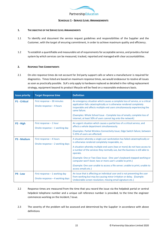

# **SCHEDULE 1 - SERVICE LEVEL ARRANGEMENTS**

#### **1. THE OBJECTIVE OF THE SERVICE LEVEL ARRANGEMENTS**

- 1.1 To identify and document the service request guidelines and responsibilities of the Supplier and the Customer, with the target of ensuring commitment, in order to achieve maximum quality and efficiency.
- 1.2 To establish a quantifiable and measurable set of requirements for acceptable service, and provide a formal system by which services can be measured, tracked, reported and managed with clear accountabilities.

#### **2. RESPONSE TIME COMMITMENTS**

2.1 On-site response times do not account for 3rd party support calls or where a manufacturer is required for diagnostics. Times listed are based on maximum response times, we would endeavour to resolve all issues as soon as practically possible. SLA's only apply to hardware replaced as detailed in the rolling replacement strategy, equipment beyond its product lifecycle will be fixed on a reasonable endeavours basis.

| <b>Issue priority</b> | <b>Target Response time</b>                                         | <b>Definition</b>                                                                                                                                                                                                                                                                                                                                                                                                                                                                                                                                             |
|-----------------------|---------------------------------------------------------------------|---------------------------------------------------------------------------------------------------------------------------------------------------------------------------------------------------------------------------------------------------------------------------------------------------------------------------------------------------------------------------------------------------------------------------------------------------------------------------------------------------------------------------------------------------------------|
| <b>P1 - Critical</b>  | First response - 30 minutes<br>Onsite response - 4 hours            | An emergency situation which causes a complete loss of service, or a critical<br>application fails catastrophically or is otherwise rendered completely<br>inoperable and affects multiple end users simultaneously experiencing the<br>same failure.<br>(Examples: Whole School Issue - Complete loss of emails; complete loss of<br>internet; at least 50% of users cannot log onto the network)                                                                                                                                                            |
| P <sub>2</sub> - High | First response - 1 hour<br>Onsite response $-1$ working day         | An urgent situation which causes a partial loss of a critical service, and<br>affects a whole department simultaneously.<br>(Examples: Partial Wireless Connectivity Issue; Edge Switch failure; between<br>5-25% of users are affected)                                                                                                                                                                                                                                                                                                                      |
| <b>P3 - Medium</b>    | First response - 4 hours<br>Onsite response - 2 working days        | A situation whereby a single user workstation has failed catastrophically or<br>is otherwise rendered completely inoperable, or,<br>A situation whereby multiple end users (two or more) do not have access to<br>a number of the services they normally use, but the business is still able to<br>operate.<br>(Example: One or Two Class Issue - One user's keyboard stopped working or<br>computer won't boot; two or more user's unable to print.)<br>(Example: One user unable to access a file server; unable to print; unable to<br>access emails etc.) |
| P4 - Low              | First response $-1$ working day<br>Onsite response - 4 working days | An issue that is affecting an individual user and is not preventing the user<br>from working but may be causing minor irritation or delay. (Example:<br>Undesirable screen resolution; missing email signature etc.)                                                                                                                                                                                                                                                                                                                                          |

- 2.2 Response times are measured from the time that you record the issue via the helpdesk portal or central helpdesk telephone number and a unique call reference number is provided, to the time the engineer commences working on the Incident / Issue.
- 2.3 The severity of the problem will be assessed and determined by the Supplier in accordance with above definitions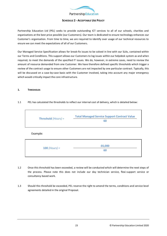

# **SCHEDULE 2 - ACCEPTABLE USE POLICY**

Partnership Education Ltd (PEL) seeks to provide outstanding ICT services to all of our schools, charities and organisations at the best price possible (our Customers). Our team is dedicated to ensure technology enhances our Customer's organisation. From time to time, we are required to identify over usage of our technical resources to ensure we can meet the expectations of all of our Customers.

Our Managed Service Specification allows for break-fix issues to be solved in line with our SLAs, contained within our Terms and Conditions. This support allows our Customers to log issues within our helpdesk system as and when required, to meet the demands of the specified IT issues. We do, however, in extreme cases, need to review the amount of resource demanded from one Customer. We have therefore defined specific thresholds which trigger a review of the contract usage to ensure other Customers are not impacted by one particular contract. Typically, this will be discussed on a case-by-case basis with the Customer involved, taking into account any major emergency which would critically impact the core infrastructure.

#### **1. THRESHOLDS**

#### 1.1 PEL has calculated the thresholds to reflect our internal cost of delivery, which is detailed below:

| <b>Threshold</b> $(Hours) =$ | <b>Total Managed Service Support Contract Value</b> |
|------------------------------|-----------------------------------------------------|
|                              | 60                                                  |

Example:

|                 | £6,000 |
|-----------------|--------|
| $100$ (Hours) = | 60     |
|                 |        |

- 1.2 Once this threshold has been exceeded, a review will be conducted which will determine the next steps of the process. Please note this does not include our day technician service, flexi-support service or consultancy based work.
- 1.3 Should this threshold be exceeded, PEL reserve the right to amend the terms, conditions and service level agreements detailed in the original Proposal.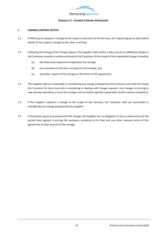

# **SCHEDULE 3 – CHANGE CONTROL PROCEDURE**

# **1. CHANGE CONTROL NOTICE**

- 1.1 If either party requests a change to the scope or execution of the Services, the requesting party shall submit details of the request change to the other in writing.
- 1.2 Following the raising of the change request, the Supplier shall, within 3 days and at no additional charge to the Customer, provide a written estimate to the Customer of the impact of the requested change, including:
	- (a) the likely time required to implement the change;
	- (b) any variations to the Fees arising from the change; and
	- (c) any other impact of the change on the terms of this agreement.
- 1.3 The Supplier shall act reasonably in considering any change proposed by the Customer and shall not charge the Customer for time incurred in considering or dealing with change requests. Any changes to pricing or new pricing required as a result of a change control shall be agreed in good faith and be market competitive.
- 1.4 If the Supplier requests a change to the scope of the Services, the Customer shall act reasonably in considering any change proposed by the Supplier.
- 1.5 If the parties agree to proceed with the change, the Supplier has no obligation to do so unless and until the parties have agreed in writing the necessary variations to its Fees and any other relevant terms of this agreement to take account of the change.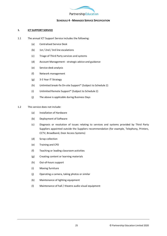

# **SCHEDULE 4 - MANAGED SERVICE SPECIFICATION**

#### **1. ICT SUPPORT SERVICE**

- 1.1 The annual ICT Support Service includes the following:
	- (a) Centralised Service Desk
	- (b) 1st / 2nd / 3rd line escalations
	- (c) Triage of Third Party services and systems
	- (d) Account Management strategic advice and guidance
	- (e) Service desk analysis
	- (f) Network management
	- (g) 3-5 Year IT Strategy
	- (h) Unlimited break-fix On-site Support\* (Subject to Schedule 2)
	- (i) Unlimited Remote Support\* (Subject to Schedule 2)
	- (j) The above is applicable during Business Days
- 1.2 This service does not include:
	- (a) Installation of Hardware
	- (b) Deployment of Software
	- (c) Diagnosis or resolution of issues relating to services and systems provided by Third Party Suppliers appointed outside the Suppliers recommendation (for example, Telephony, Printers, CCTV, Broadband, Door Access Systems)
	- (d) Scrap collection
	- (e) Training and CPD
	- (f) Teaching or leading classroom activities
	- (g) Creating content or learning materials
	- (h) Out-of-hours support
	- (i) Moving furniture
	- (j) Operating a camera, taking photos or similar
	- (k) Maintenance of lighting equipment
	- (l) Maintenance of hall / theatre audio visual equipment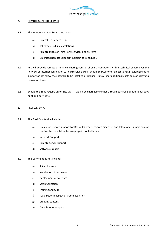

## **2. REMOTE SUPPORT SERVICE**

- 2.1 The Remote Support Service includes:
	- (a) Centralised Service Desk
	- (b) 1st / 2nd / 3rd line escalations
	- (c) Remote triage of Third Party services and systems
	- (d) Unlimited Remote Support\* (Subject to Schedule 2)
- 2.2 PEL will provide remote assistance, sharing control of users' computers with a technical expert over the network or Internet connection to help resolve tickets. Should the Customer object to PEL providing remote support or not allow the software to be installed or utilised, it may incur additional costs and/or delays to resolution times.
- 2.3 Should the issue require an on-site visit, it would be chargeable either through purchase of additional days or at an hourly rate.

#### **3. PEL FLEXI DAYS**

- 3.1 The Flexi Day Service includes:
	- (a) On-site or remote support for ICT faults where remote diagnosis and telephone support cannot resolve the issue taken from a prepaid pool of hours
	- (b) Network Support
	- (c) Remote Server Support
	- (d) Software support
- 3.2 This service does not include:
	- (a) SLA adherence
	- (b) Installation of hardware
	- (c) Deployment of software
	- (d) Scrap Collection
	- (e) Training and CPD
	- (f) Teaching or leading classroom activities
	- (g) Creating content
	- (h) Out-of-hours support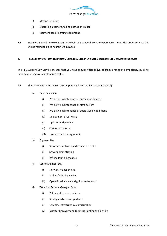

- (i) Moving Furniture
- (j) Operating a camera, taking photos or similar
- (k) Maintenance of lighting equipment
- 3.3 Technician travel time to customer site will be deducted from time purchased under Flexi-Daysservice. This will be rounded up to nearest 30 minutes

## 4. PEL SUPPORT DAY - DAY TECHNICIAN / ENGINEER / SENIOR ENGINEER / TECHNICAL SERVICE MANAGER SERVICE

The PEL Support Day Service ensures that you have regular visits delivered from a range of competency levels to undertake proactive maintenance tasks.

- 4.1 This service includes (based on competency level detailed in the Proposal):
	- (a) Day Technician
		- (i) Pro-active maintenance of curriculum devices
		- (ii) Pro-active maintenance of staff devices
		- (iii) Pro-active maintenance of audio visual equipment
		- (iv) Deployment of software
		- (v) Updates and patching
		- (vi) Checks of backups
		- (vii) User account management
	- (b) Engineer Day
		- (i) Server and network performance checks
		- (ii) Server administration
		- (iii) 2 2<sup>nd</sup> line fault diagnostics
	- (c) Senior Engineer Day
		- (i) Network management
		- $(i)$ 3rd line fault diagnostics
		- (iii) Operational advice and guidance for staff
	- (d) Technical Service Manager Days
		- (i) Policy and process reviews
		- (ii) Strategic advice and guidance
		- (iii) Complex infrastructure configuration
		- (iv) Disaster Recovery and Business Continuity Planning